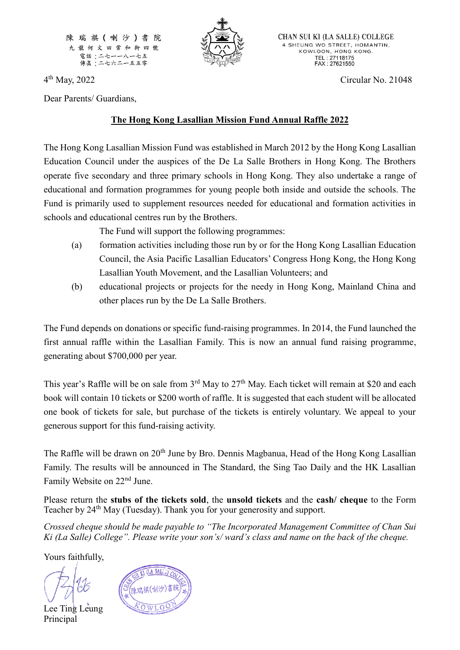陳瑞祺(喇沙)書 院 九龍何文田常和街四號 電話:二七一一八一七五 傳眞:二七六二一五五零



CHAN SUI KI (LA SALLE) COLLEGE 4 SHEUNG WO STREET, HOMANTIN, KOWLOON, HONG KONG. TEL: 27118175<br>FAX: 27621550

4<sup>th</sup> May, 2022

Dear Parents/ Guardians,

## **The Hong Kong Lasallian Mission Fund Annual Raffle 2022**

The Hong Kong Lasallian Mission Fund was established in March 2012 by the Hong Kong Lasallian Education Council under the auspices of the De La Salle Brothers in Hong Kong. The Brothers operate five secondary and three primary schools in Hong Kong. They also undertake a range of educational and formation programmes for young people both inside and outside the schools. The Fund is primarily used to supplement resources needed for educational and formation activities in schools and educational centres run by the Brothers.

The Fund will support the following programmes:

- (a) formation activities including those run by or for the Hong Kong Lasallian Education Council, the Asia Pacific Lasallian Educators' Congress Hong Kong, the Hong Kong Lasallian Youth Movement, and the Lasallian Volunteers; and
- (b) educational projects or projects for the needy in Hong Kong, Mainland China and other places run by the De La Salle Brothers.

The Fund depends on donations or specific fund-raising programmes. In 2014, the Fund launched the first annual raffle within the Lasallian Family. This is now an annual fund raising programme, generating about \$700,000 per year.

This year's Raffle will be on sale from  $3<sup>rd</sup>$  May to  $27<sup>th</sup>$  May. Each ticket will remain at \$20 and each book will contain 10 tickets or \$200 worth of raffle. It is suggested that each student will be allocated one book of tickets for sale, but purchase of the tickets is entirely voluntary. We appeal to your generous support for this fund-raising activity.

The Raffle will be drawn on 20<sup>th</sup> June by Bro. Dennis Magbanua, Head of the Hong Kong Lasallian Family. The results will be announced in The Standard, the Sing Tao Daily and the HK Lasallian Family Website on 22nd June.

Please return the **stubs of the tickets sold**, the **unsold tickets** and the **cash/ cheque** to the Form Teacher by 24<sup>th</sup> May (Tuesday). Thank you for your generosity and support.

*Crossed cheque should be made payable to "The Incorporated Management Committee of Chan Sui Ki (La Salle) College". Please write your son's/ ward's class and name on the back of the cheque.*

Yours faithfully,

Lee Ting Leung Principal



Circular No. 21048